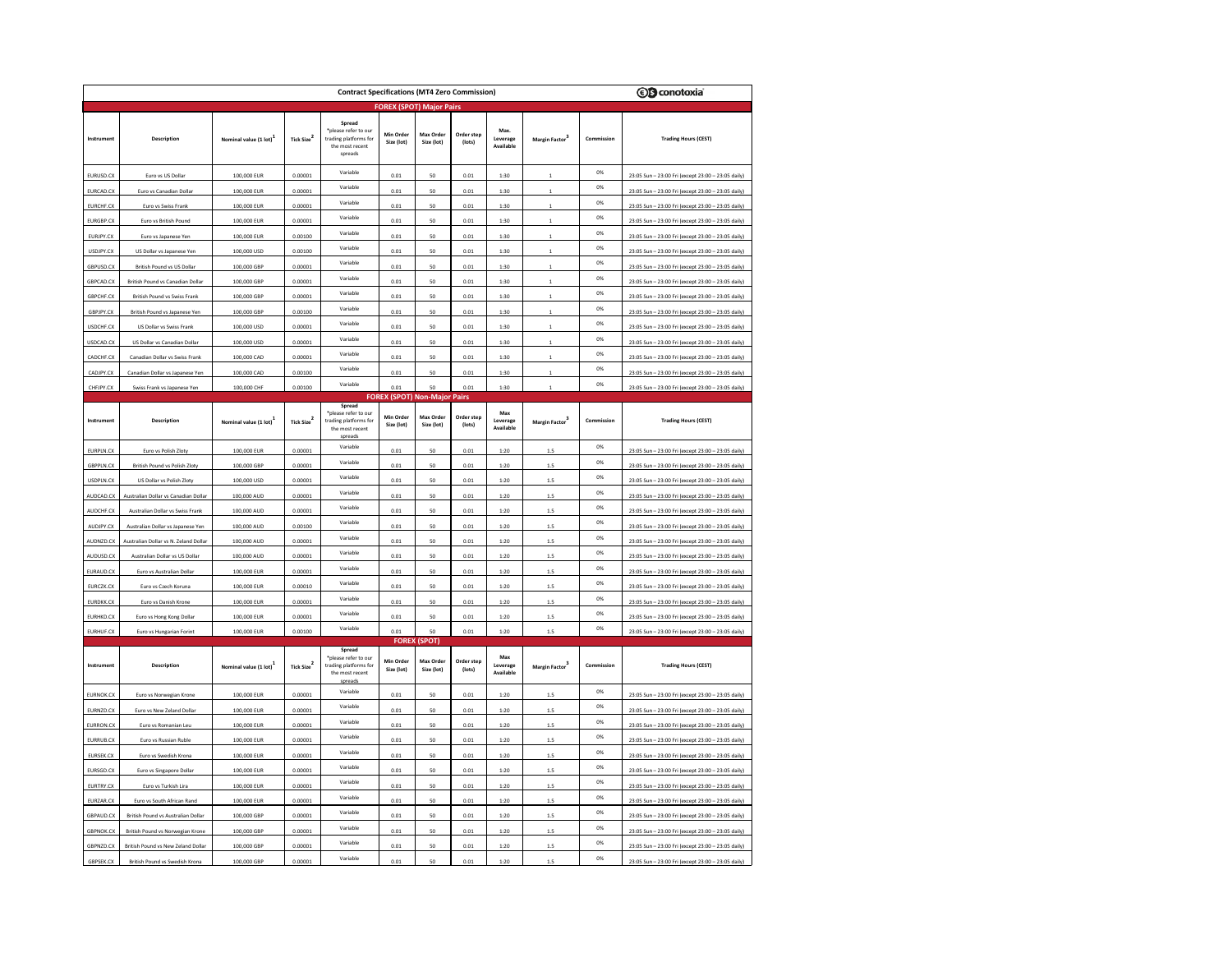| <b>ⓒG</b> conotoxia<br><b>Contract Specifications (MT4 Zero Commission)</b> |                                      |                       |                               |                                                                                       |                                     |                         |                      |                               |                      |            |                                                    |  |
|-----------------------------------------------------------------------------|--------------------------------------|-----------------------|-------------------------------|---------------------------------------------------------------------------------------|-------------------------------------|-------------------------|----------------------|-------------------------------|----------------------|------------|----------------------------------------------------|--|
| <b>FOREX (SPOT) Major Pairs</b>                                             |                                      |                       |                               |                                                                                       |                                     |                         |                      |                               |                      |            |                                                    |  |
| Instrument                                                                  | Description                          | Nominal value (1 lot) | Tick Size <sup>2</sup>        | Spread<br>*please refer to our<br>trading platforms for<br>the most recent<br>spreads | Min Order<br>Size (lot)             | Max Order<br>Size (lot) | Order step<br>(lots) | Max.<br>Leverage<br>Available | Margin Factor        | Commission | <b>Trading Hours (CEST)</b>                        |  |
| EURUSD.CX                                                                   | Euro vs US Dollar                    | 100,000 EUR           | 0.00001                       | Variable                                                                              | 0.01                                | 50                      | 0.01                 | 1:30                          |                      | 0%         | 23:05 Sun - 23:00 Fri (except 23:00 - 23:05 daily) |  |
| EURCAD.C)                                                                   | Euro vs Canadian Dollar              | 100,000 EUR           | 0.00001                       | Variable                                                                              | 0.01                                | 50                      | 0.01                 | 1:30                          |                      | 0%         | 23:05 Sun - 23:00 Fri (except 23:00 - 23:05 daily) |  |
| EURCHF.CX                                                                   | Euro vs Swiss Frank                  | 100,000 EUR           | 0.00001                       | Variable                                                                              | 0.01                                | 50                      | 0.01                 | 1:30                          |                      | 0%         | 23:05 Sun - 23:00 Fri (except 23:00 - 23:05 daily) |  |
| EURGBP.CX                                                                   | Euro vs British Pound                | 100,000 EUR           | 0.00001                       | Variable                                                                              | 0.01                                | 50                      | 0.01                 | 1:30                          |                      | 0%         | 23:05 Sun - 23:00 Fri (except 23:00 - 23:05 daily) |  |
| EURJPY.CX                                                                   | Euro vs Japanese Yen                 | 100,000 EUR           | 0.00100                       | Variable                                                                              | 0.01                                | 50                      | 0.01                 | 1:30                          |                      | 0%         | 23:05 Sun - 23:00 Fri (except 23:00 - 23:05 daily) |  |
| USDJPY.CX                                                                   | US Dollar vs Japanese Yen            | 100,000 USD           | 0.00100                       | Variable                                                                              | 0.01                                | 50                      | 0.01                 | 1:30                          |                      | 0%         | 23:05 Sun - 23:00 Fri (except 23:00 - 23:05 daily) |  |
| GBPUSD.CX                                                                   | British Pound vs US Dollar           | 100,000 GBP           | 0.00001                       | Variable                                                                              | 0.01                                | 50                      | 0.01                 | 1:30                          |                      | 0%         | 23:05 Sun - 23:00 Fri (except 23:00 - 23:05 daily) |  |
| GBPCAD.CX                                                                   | British Pound vs Canadian Dollar     | 100,000 GBP           | 0.00001                       | Variable                                                                              | 0.01                                | 50                      | 0.01                 | 1:30                          | $\mathbf{1}$         | 0%         | 23:05 Sun - 23:00 Fri (except 23:00 - 23:05 daily) |  |
| GBPCHF.CX                                                                   | British Pound vs Swiss Frank         | 100,000 GBP           | 0.00001                       | Variable                                                                              | 0.01                                | 50                      | 0.01                 | 1:30                          |                      | 0%         | 23:05 Sun - 23:00 Fri (except 23:00 - 23:05 daily) |  |
| GBPJPY.CX                                                                   | British Pound vs Japanese Yen        | 100,000 GBP           | 0.00100                       | Variable                                                                              | 0.01                                | 50                      | 0.01                 | 1:30                          |                      | 0%         | 23:05 Sun - 23:00 Fri (except 23:00 - 23:05 daily) |  |
| USDCHF.CX                                                                   | US Dollar vs Swiss Frank             | 100,000 USD           | 0.00001                       | Variable                                                                              | 0.01                                | 50                      | 0.01                 | 1:30                          |                      | 0%         | 23:05 Sun - 23:00 Fri (except 23:00 - 23:05 daily) |  |
| USDCAD.CX                                                                   | US Dollar vs Canadian Dollar         | 100,000 USD           | 0.00001                       | Variable                                                                              | 0.01                                | 50                      | 0.01                 | 1:30                          | $\mathbf{1}$         | 0%         | 23:05 Sun - 23:00 Fri (except 23:00 - 23:05 daily) |  |
| CADCHF.CX                                                                   | Canadian Dollar vs Swiss Frank       | 100,000 CAD           | 0.00001                       | Variable                                                                              | 0.01                                | 50                      | 0.01                 | 1:30                          | $\mathbf{1}$         | 0%         | 23:05 Sun - 23:00 Fri (except 23:00 - 23:05 daily) |  |
| CADJPY.CX                                                                   | Canadian Dollar vs Japanese Yen      | 100,000 CAD           | 0.00100                       | Variable                                                                              | 0.01                                | 50                      | 0.01                 | 1:30                          | 1                    | 0%         | 23:05 Sun - 23:00 Fri (except 23:00 - 23:05 daily) |  |
| CHFJPY.CX                                                                   | Swiss Frank vs Japanese Yen          | 100,000 CHF           | 0.00100                       | Variable                                                                              | 0.01                                | 50                      | 0.01                 | 1:30                          |                      | 0%         | 23:05 Sun - 23:00 Fri (except 23:00 - 23:05 daily) |  |
|                                                                             |                                      |                       |                               | Spread                                                                                | <b>FOREX (SPOT) Non-Major Pairs</b> |                         |                      |                               |                      |            |                                                    |  |
| Instrument                                                                  | Description                          | Nominal value (1 lot) | Tick Size <sup>2</sup>        | *please refer to ou<br>trading platforms for<br>the most recent<br>snread             | Min Order<br>Size (lot)             | Max Order<br>Size (lot) | Order step<br>(lots) | Max<br>Leverage<br>Available  | <b>Margin Factor</b> | Commission | <b>Trading Hours (CEST)</b>                        |  |
| EURPLN.CX                                                                   | Euro vs Polish Zloty                 | 100,000 EUR           | 0.00001                       | Variable                                                                              | 0.01                                | 50                      | 0.01                 | 1:20                          | 1.5                  | 0%         | 23:05 Sun - 23:00 Fri (except 23:00 - 23:05 daily) |  |
| GBPPLN.CX                                                                   | British Pound vs Polish Zloty        | 100,000 GBP           | 0.00001                       | Variable                                                                              | 0.01                                | 50                      | 0.01                 | 1:20                          | 1.5                  | 0%         | 23:05 Sun - 23:00 Fri (except 23:00 - 23:05 daily) |  |
| <b>USDPLN.CX</b>                                                            | US Dollar vs Polish Zloty            | 100,000 USD           | 0.00001                       | Variable                                                                              | 0.01                                | 50                      | 0.01                 | 1:20                          | 1.5                  | 0%         | 23:05 Sun - 23:00 Fri (except 23:00 - 23:05 daily) |  |
| AUDCAD.CX                                                                   | Australian Dollar vs Canadian Dollar | 100,000 AUD           | 0.00001                       | Variable                                                                              | 0.01                                | 50                      | 0.01                 | 1:20                          | 1.5                  | 0%         | 23:05 Sun - 23:00 Fri (except 23:00 - 23:05 daily) |  |
| AUDCHF.CX                                                                   | Australian Dollar vs Swiss Frank     | 100,000 AUD           | 0.00001                       | Variable                                                                              | 0.01                                | 50                      | 0.01                 | 1:20                          | 1.5                  | 0%         | 23:05 Sun - 23:00 Fri (except 23:00 - 23:05 daily) |  |
| AUDJPY.CX                                                                   | Australian Dollar vs Japanese Yen    | 100,000 AUD           | 0.00100                       | Variable                                                                              | 0.01                                | 50                      | 0.01                 | 1:20                          | 1.5                  | 0%         | 23:05 Sun - 23:00 Fri (except 23:00 - 23:05 daily) |  |
| AUDNZD.CX                                                                   | Australian Dollar vs N. Zeland Dolla | 100,000 AUD           | 0.00001                       | Variable                                                                              | 0.01                                | 50                      | 0.01                 | 1:20                          | 1.5                  | 0%         | 23:05 Sun - 23:00 Fri (except 23:00 - 23:05 daily) |  |
| AUDUSD.CX                                                                   | Australian Dollar vs US Dollar       | 100,000 AUD           | 0.00001                       | Variable                                                                              | 0.01                                | 50                      | 0.01                 | 1:20                          | 1.5                  | 0%         | 23:05 Sun - 23:00 Fri (except 23:00 - 23:05 daily) |  |
| EURAUD.CX                                                                   | Euro vs Australian Dollar            | 100,000 EUR           | 0.00001                       | Variable                                                                              | 0.01                                | 50                      | 0.01                 | 1:20                          | 1.5                  | 0%         | 23:05 Sun - 23:00 Fri (except 23:00 - 23:05 daily) |  |
| EURCZK.CX                                                                   | Euro vs Czech Koruna                 | 100,000 EUR           | 0.00010                       | Variable                                                                              | $_{0.01}$                           | 50                      | 0.01                 | 1:20                          | 1.5                  | 0%         | 23:05 Sun - 23:00 Fri (except 23:00 - 23:05 daily) |  |
| EURDKK.CX                                                                   | Euro vs Danish Krone                 | 100,000 EUR           | 0.00001                       | Variable                                                                              | 0.01                                | 50                      | $_{0.01}$            | 1:20                          | 1.5                  | 0%         | 23:05 Sun - 23:00 Fri (except 23:00 - 23:05 daily) |  |
| EURHKD.CX                                                                   | Euro vs Hong Kong Dollar             | 100,000 EUR           | 0.00001                       | Variable                                                                              | 0.01                                | 50                      | 0.01                 | 1:20                          | 1.5                  | 0%         | 23:05 Sun - 23:00 Fri (except 23:00 - 23:05 daily) |  |
| EURHUF.CX                                                                   | Euro vs Hungarian Forint             | 100,000 EUR           | 0.00100                       | Variable                                                                              | 0.01                                | 50                      | 0.01                 | 1:20                          | 1.5                  | 0%         | 23:05 Sun - 23:00 Fri (except 23:00 - 23:05 daily) |  |
|                                                                             |                                      |                       | <b>FOREX (SPOT)</b><br>Spread |                                                                                       |                                     |                         |                      |                               |                      |            |                                                    |  |
| Instrument                                                                  | Description                          | Nominal value (1 lot) | Tick Size <sup>2</sup>        | *please refer to our<br>trading platforms for<br>the most recent<br>spreads           | Min Order<br>Size (lot)             | Max Order<br>Size (lot) | Order step<br>(lots) | Max<br>Leverage<br>Available  | Margin Factor        | Commission | <b>Trading Hours (CEST)</b>                        |  |
| EURNOK.CX                                                                   | Euro vs Norwegian Krone              | 100,000 EUR           | 0.00001                       | Variable                                                                              | 0.01                                | 50                      | 0.01                 | 1:20                          | 1.5                  | 0%         | 23:05 Sun - 23:00 Fri (except 23:00 - 23:05 daily) |  |
| EURNZD.CX                                                                   | Euro vs New Zeland Dollar            | 100,000 EUR           | 0.00001                       | Variable                                                                              | 0.01                                | 50                      | 0.01                 | 1:20                          | 1.5                  | 0%         | 23:05 Sun - 23:00 Fri (except 23:00 - 23:05 daily) |  |
| EURRON.C                                                                    | Euro vs Romanian Leu                 | 100,000 EUR           | 0.00001                       | Variable                                                                              | 0.01                                | 50                      | 0.01                 | 1:20                          | 1.5                  | 0%         | 23:05 Sun - 23:00 Fri (except 23:00 - 23:05 daily) |  |
| EURRUB.CX                                                                   | Euro vs Russian Ruble                | 100,000 EUR           | 0.00001                       | Variable                                                                              | 0.01                                | 50                      | 0.01                 | 1:20                          | 1.5                  | 0%         | 23:05 Sun - 23:00 Fri (except 23:00 - 23:05 daily) |  |
| EURSEK.CX                                                                   | Euro vs Swedish Krona                | 100,000 EUR           | 0.00001                       | Variable                                                                              | 0.01                                | 50                      | 0.01                 | 1:20                          | 1.5                  | 0%         | 23:05 Sun - 23:00 Fri (except 23:00 - 23:05 daily) |  |
| EURSGD.CX                                                                   | Euro vs Singapore Dollar             | 100,000 EUR           | 0.00001                       | Variable                                                                              | 0.01                                | 50                      | 0.01                 | 1:20                          | 1.5                  | 0%         | 23:05 Sun - 23:00 Fri (except 23:00 - 23:05 daily) |  |
| EURTRY.CX                                                                   | Euro vs Turkish Lira                 | 100,000 EUR           | 0.00001                       | Variable                                                                              | 0.01                                | 50                      | 0.01                 | 1:20                          | 1.5                  | 0%         | 23:05 Sun - 23:00 Fri (except 23:00 - 23:05 daily) |  |
| EURZAR.CX                                                                   | Euro vs South African Rand           | 100,000 EUR           | 0.00001                       | Variable                                                                              | 0.01                                | 50                      | $0.01\,$             | 1:20                          | 1.5                  | 0%         | 23:05 Sun - 23:00 Fri (except 23:00 - 23:05 daily) |  |
| GBPAUD.CX                                                                   | British Pound vs Australian Dollar   | 100,000 GBP           | 0.00001                       | Variable                                                                              | 0.01                                | 50                      | 0.01                 | 1:20                          | 1.5                  | 0%         | 23:05 Sun - 23:00 Fri (except 23:00 - 23:05 daily) |  |
| <b>GBPNOK.CX</b>                                                            | British Pound vs Norwegian Krone     | 100,000 GBP           | 0.00001                       | Variable                                                                              | 0.01                                | 50                      | 0.01                 | 1:20                          | 1.5                  | 0%         | 23:05 Sun - 23:00 Fri (except 23:00 - 23:05 daily) |  |
| GBPNZD.CX                                                                   | British Pound vs New Zeland Dollar   | 100,000 GBP           | 0.00001                       | Variable                                                                              | 0.01                                | 50                      | 0.01                 | 1:20                          | 1.5                  | 0%         | 23:05 Sun - 23:00 Fri (except 23:00 - 23:05 daily) |  |
| GBPSEK.CX                                                                   | British Pound vs Swedish Krona       | 100,000 GBP           | 0.00001                       | Variable                                                                              | 0.01                                | 50                      | 0.01                 | 1:20                          | 1.5                  | 0%         | 23:05 Sun - 23:00 Fri (except 23:00 - 23:05 daily) |  |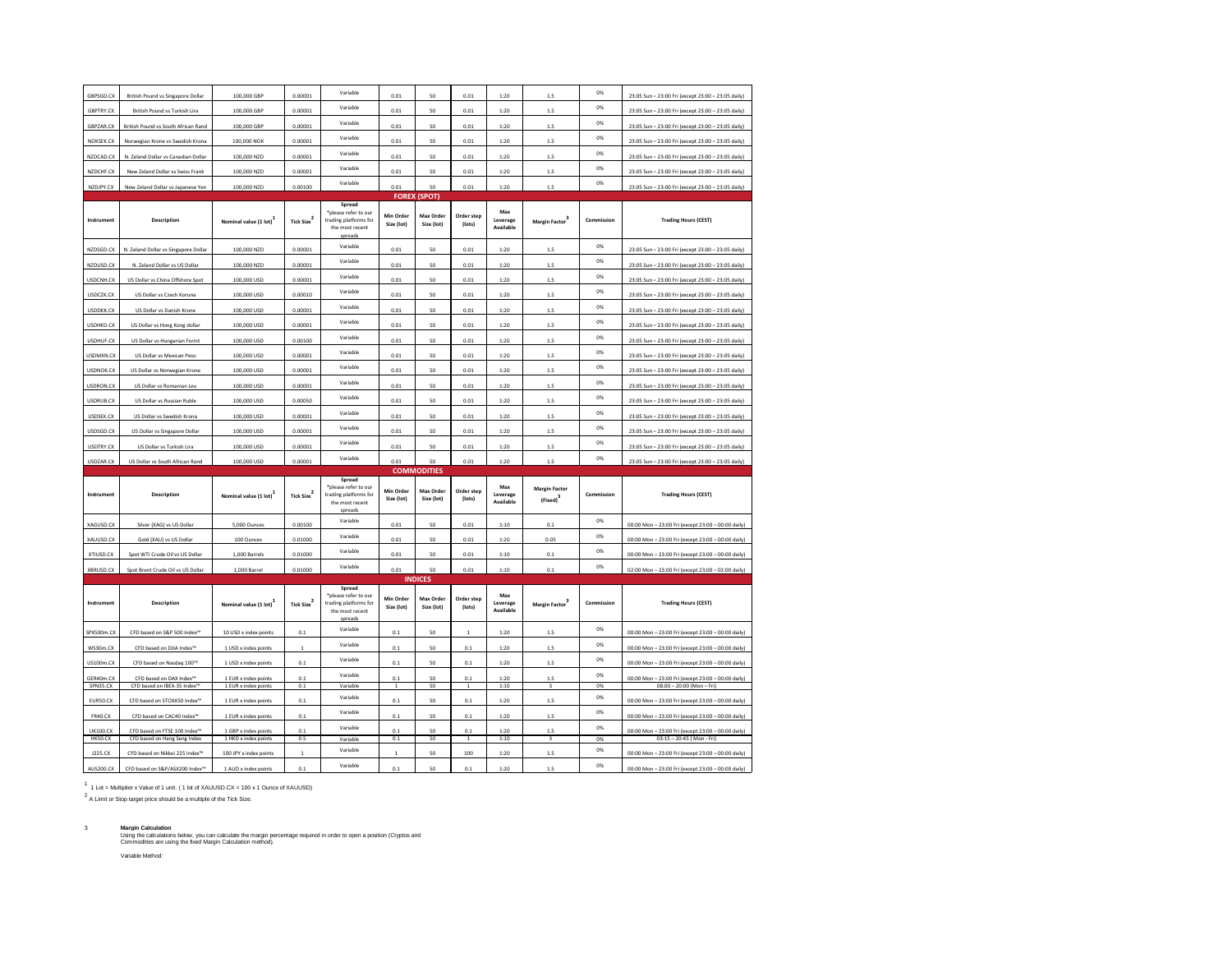| GBPSGD.CX                  | <b>British Pound vs Singapore Dollar</b>                                  | 100,000 GBP                                  | 0.00001                | Variable                                                                             | 0.01                    | 50                      | 0.01                 | 1:20                         | 1.5                                          | 0%         | 23:05 Sun - 23:00 Fri (except 23:00 - 23:05 daily)                                                       |  |  |
|----------------------------|---------------------------------------------------------------------------|----------------------------------------------|------------------------|--------------------------------------------------------------------------------------|-------------------------|-------------------------|----------------------|------------------------------|----------------------------------------------|------------|----------------------------------------------------------------------------------------------------------|--|--|
| GBPTRY.CX                  | British Pound vs Turkish Lira                                             | 100,000 GBP                                  | 0.00001                | Variable                                                                             | 0.01                    | 50                      | 0.01                 | 1:20                         | 1.5                                          | 0%         | 23:05 Sun - 23:00 Fri (except 23:00 - 23:05 daily)                                                       |  |  |
| GBPZAR.CX                  | British Pound vs South African Rand                                       | 100,000 GBP                                  | 0.00001                | Variable                                                                             | 0.01                    | 50                      | 0.01                 | 1:20                         | 1.5                                          | 0%         | 23:05 Sun - 23:00 Fri (except 23:00 - 23:05 daily)                                                       |  |  |
| NOKSEK CX                  | Norwegian Krone vs Swedish Krona                                          | 100,000 NOK                                  | 0.00001                | Variable                                                                             | 0.01                    | 50                      | 0.01                 | 1:20                         | 15                                           | 0%         | 23:05 Sun - 23:00 Fri (except 23:00 - 23:05 daily)                                                       |  |  |
| NZDCAD.CX                  | N. Zeland Dollar vs Canadian Dollar                                       | 100,000 NZD                                  | 0.00001                | Variable                                                                             | 0.01                    | 50                      | 0.01                 | 1:20                         | 1.5                                          | 0%         | 23:05 Sun - 23:00 Fri (except 23:00 - 23:05 daily)                                                       |  |  |
| NZDCHF.CX                  | New Zeland Dollar vs Swiss Frank                                          | 100,000 NZD                                  | 0.00001                | Variable                                                                             | 0.01                    | 50                      | 0.01                 | 1:20                         | 1.5                                          | 0%         |                                                                                                          |  |  |
| NZDJPY.CX                  | New Zeland Dollar vs Japanese Yen                                         | 100,000 NZD                                  | 0.00100                | Variable                                                                             | 0.01                    | 50                      | 0.01                 | 1:20                         | 1.5                                          | 0%         | 23:05 Sun - 23:00 Fri (except 23:00 - 23:05 daily)<br>23:05 Sun - 23:00 Fri (except 23:00 - 23:05 daily) |  |  |
|                            |                                                                           |                                              |                        |                                                                                      | <b>FOREX</b>            | (SPOT)                  |                      |                              |                                              |            |                                                                                                          |  |  |
| Instrument                 | Description                                                               | Nominal value (1 lot)                        | Tick Size <sup>2</sup> | Spread<br>*please refer to our<br>trading platforms for<br>the most recent<br>spread | Min Order<br>Size (lot) | Max Order<br>Size (lot) | Order step<br>(lots) | Max<br>Leverage<br>Available | Margin Factor                                | Commission | <b>Trading Hours (CEST)</b>                                                                              |  |  |
| NZDSGD.CX                  | N. Zeland Dollar vs Singapore Dollar                                      | 100,000 NZD                                  | 0.00001                | Variable                                                                             | 0.01                    | 50                      | 0.01                 | 1:20                         | 15                                           | 0%         | 23:05 Sun - 23:00 Fri (except 23:00 - 23:05 daily)                                                       |  |  |
| NZDUSD.CX                  | N. Zeland Dollar vs US Dollar                                             | 100,000 NZD                                  | 0.00001                | Variable                                                                             | 0.01                    | 50                      | 0.01                 | 1:20                         | 1.5                                          | 0%         | 23:05 Sun - 23:00 Fri (except 23:00 - 23:05 daily)                                                       |  |  |
| USDCNH.CX                  | US Dollar vs China Offshore Spot                                          | 100,000 USD                                  | 0.00001                | Variable                                                                             | 0.01                    | 50                      | 0.01                 | 1:20                         | 1.5                                          | 0%         | 23:05 Sun - 23:00 Fri (except 23:00 - 23:05 daily)                                                       |  |  |
| USDCZK.CX                  | US Dollar vs Czech Koruna                                                 | 100,000 USD                                  | 0.00010                | Variable                                                                             | 0.01                    | 50                      | 0.01                 | 1:20                         | 1.5                                          | 0%         | 23:05 Sun - 23:00 Fri (except 23:00 - 23:05 daily)                                                       |  |  |
| USDDKK.CX                  | US Dollar vs Danish Krone                                                 | 100,000 USD                                  | 0.00001                | Variable                                                                             | 0.01                    | 50                      | 0.01                 | 1:20                         | 15                                           | 0%         | 23:05 Sun - 23:00 Fri (except 23:00 - 23:05 daily)                                                       |  |  |
| USDHKD.CX                  | US Dollar vs Hong Kong dollar                                             | 100,000 USD                                  | 0.00001                | Variable                                                                             | 0.01                    | 50                      | 0.01                 | 1:20                         | $1.5\,$                                      | 0%         | 23:05 Sun - 23:00 Fri (except 23:00 - 23:05 daily)                                                       |  |  |
| USDHUF.CX                  | US Dollar vs Hungarian Forint                                             | 100,000 USD                                  | 0.00100                | Variable                                                                             | 0.01                    | 50                      | 0.01                 | 1:20                         | 1.5                                          | 0%         | 23:05 Sun - 23:00 Fri (except 23:00 - 23:05 daily)                                                       |  |  |
| USDMXN.CX                  | US Dollar vs Mexican Peso                                                 | 100,000 USD                                  | 0.00001                | Variable                                                                             | 0.01                    | 50                      | 0.01                 | 1:20                         | 1.5                                          | 0%         | 23:05 Sun - 23:00 Fri (except 23:00 - 23:05 daily)                                                       |  |  |
| <b>USDNOK.CX</b>           | US Dollar vs Norwegian Krone                                              | 100,000 USD                                  | 0.00001                | Variable                                                                             | 0.01                    | 50                      | 0.01                 | 1:20                         | $1.5\,$                                      | 0%         | 23:05 Sun - 23:00 Fri (except 23:00 - 23:05 daily)                                                       |  |  |
| <b>USDRON.CX</b>           | US Dollar vs Romanian Leu                                                 | 100,000 USD                                  | 0.00001                | Variable                                                                             | 0.01                    | 50                      | 0.01                 | 1:20                         | 1.5                                          | $0\%$      | 23:05 Sun - 23:00 Fri (except 23:00 - 23:05 daily)                                                       |  |  |
| USDRUB.CX                  | US Dollar vs Russian Ruble                                                | 100,000 USD                                  | 0.00050                | Variable                                                                             | 0.01                    | 50                      | 0.01                 | 1:20                         | 1.5                                          | 0%         | 23:05 Sun - 23:00 Fri (except 23:00 - 23:05 daily)                                                       |  |  |
| <b>USDSEK.CX</b>           | US Dollar vs Swedish Krona                                                | 100,000 USD                                  | 0.00001                | Variable                                                                             | 0.01                    | 50                      | 0.01                 | 1:20                         | 15                                           | 0%         | 23:05 Sun - 23:00 Fri (except 23:00 - 23:05 daily)                                                       |  |  |
| USDSGD.CX                  | US Dollar vs Singapore Dollar                                             | 100,000 USD                                  | 0.00001                | Variable                                                                             | 0.01                    | 50                      | 0.01                 | 1:20                         | 1.5                                          | 0%         | 23:05 Sun - 23:00 Fri (except 23:00 - 23:05 daily)                                                       |  |  |
|                            |                                                                           |                                              |                        |                                                                                      |                         |                         |                      |                              |                                              |            |                                                                                                          |  |  |
| USDTRY.CX                  | US Dollar vs Turkish Lira                                                 | 100,000 USD                                  | 0.00001                | Variable                                                                             | 0.01                    | 50                      | 0.01                 | 1:20                         | 1.5                                          | 0%         | 23:05 Sun - 23:00 Fri (except 23:00 - 23:05 daily)                                                       |  |  |
| USDZAR.CX                  | US Dollar vs South African Rand                                           | 100,000 USD                                  | 0.00001                | Variable                                                                             | 0.01                    | 50                      | 0.01                 | 1:20                         | 1.5                                          | 0%         | 23:05 Sun - 23:00 Fri (except 23:00 - 23:05 daily)                                                       |  |  |
|                            |                                                                           |                                              |                        |                                                                                      |                         | <b>COMMODITIES</b>      |                      |                              |                                              |            |                                                                                                          |  |  |
| Instrument                 | <b>Description</b>                                                        | Nominal value (1 lot)                        | Tick Size $^2$         | Spread<br>*please refer to our<br>trading platforms for<br>the most recent<br>spread | Min Order<br>Size (lot) | Max Order<br>Size (lot) | Order step<br>(lots) | Max<br>Leverage<br>Available | <b>Margin Factor</b><br>(Fixed) <sup>3</sup> | Commission | <b>Trading Hours (CEST)</b>                                                                              |  |  |
| XAGUSD.CX                  | Silver (XAG) vs US Dollar                                                 | 5,000 Ounces                                 | 0.00100                | Variable                                                                             | 0.01                    | 50                      | 0.01                 | 1:10                         | 0.1                                          | 0%         | 00:00 Mon - 23:00 Fri (except 23:00 - 00:00 daily)                                                       |  |  |
| XAUUSD.CX                  | Gold (XAU) vs US Dollar                                                   | 100 Ounces                                   | 0.01000                | Variable                                                                             | 0.01                    | 50                      | 0.01                 | 1:20                         | 0.05                                         | 0%         | 00:00 Mon - 23:00 Fri (except 23:00 - 00:00 daily)                                                       |  |  |
| XTIUSD.CX                  | Spot WTI Crude Oil vs US Dollar                                           | 1.000 Barrels                                | 0.01000                | Variable                                                                             | 0.01                    | 50                      | 0.01                 | 1:10                         | 0.1                                          | 0%         | 00:00 Mon - 23:00 Fri (except 23:00 - 00:00 daily)                                                       |  |  |
| XBRUSD.CX                  | Spot Brent Crude Oil vs US Dollar                                         | 1,000 Barrel                                 | 0.01000                | Variable                                                                             | 0.01                    | 50                      | 0.01                 | 1:10                         | 0.1                                          | 0%         | 02:00 Mon - 23:00 Fri (except 23:00 - 02:00 daily)                                                       |  |  |
|                            |                                                                           |                                              |                        |                                                                                      |                         | <b>INDICES</b>          |                      |                              |                                              |            |                                                                                                          |  |  |
| Instrument                 | <b>Description</b>                                                        | Nominal value (1 lot)                        | Tick Size $^2$         | Spread<br>*please refer to our<br>trading platforms for<br>the most recent<br>snreac | Min Order<br>Size (lot) | Max Order<br>Size (lot) | Order step<br>(lots) | Max<br>Leverage<br>Available | Margin Factor <sup>3</sup>                   | Commission | <b>Trading Hours (CEST)</b>                                                                              |  |  |
| SPX500m.CX                 | CFD based on S&P 500 Index <sup>th</sup>                                  | 10 USD x index points                        | 0.1                    | Variable                                                                             | 0.1                     | 50                      | $\mathbf 1$          | 1:20                         | 1.5                                          | 0%         | 00:00 Mon - 23:00 Fri (except 23:00 - 00:00 daily)                                                       |  |  |
| WS30m.CX                   | CFD based on DJIA Index™                                                  | 1 USD x index points                         | $\overline{1}$         | Variable                                                                             | 0.1                     | 50                      | $0.1\,$              | 1:20                         | 1.5                                          | 0%         | 00:00 Mon - 23:00 Fri (except 23:00 - 00:00 daily)                                                       |  |  |
| <b>US100m.CX</b>           | CFD based on Nasdaq 100"                                                  | 1 USD x index points                         | 0.1                    | Variable                                                                             | 0.1                     | 50                      | 0.1                  | 1:20                         | 1.5                                          | $0\%$      | 00:00 Mon - 23:00 Fri (except 23:00 - 00:00 daily)                                                       |  |  |
| GER40m.CX                  | CFD based on DAX Index"                                                   | 1 EUR x index points                         | 0.1                    | Variable                                                                             | 0.1                     | 50                      | 0.1                  | 1:20                         | 1.5                                          | 0%         | 00:00 Mon - 23:00 Fri (except 23:00 - 00:00 daily)                                                       |  |  |
| SPN35.CX                   | CFD based on IBEX-35 Index"                                               | 1 EUR x index points                         | 0.1                    | Variable<br>Variable                                                                 | $\mathbf{1}$            | 50                      | $\,$ 1               | 1:10                         | $\overline{\mathbf{3}}$                      | 0%<br>0%   | $08:00 - 20:00$ (Mon-Fri)                                                                                |  |  |
| EUR50.CX                   | CFD based on STOXX50 Index <sup>18</sup>                                  | 1 EUR x index points                         | 0.1                    |                                                                                      | 0.1                     | 50                      | $0.1\,$              | 1:20                         | 1.5                                          |            | 00:00 Mon - 23:00 Fri (except 23:00 - 00:00 daily)                                                       |  |  |
| <b>FR40.CX</b>             | CFD based on CAC40 Index™                                                 | 1 EUR x index points                         | 0.1                    | Variable<br>Variable                                                                 | 0.1                     | 50                      | 0.1                  | 1:20                         | 1.5                                          | 0%<br>0%   | 00:00 Mon - 23:00 Fri (except 23:00 - 00:00 daily)                                                       |  |  |
| <b>UK100.CX</b><br>HK50.CX | CFD based on FTSE 100 Index <sup>16</sup><br>CFD based on Hang Seng Index | 1 GBP x index points<br>1 HKD x index points | 0.1<br>0.5             | Variable                                                                             | 0.1<br>0.1              | 50<br>50                | 0.1<br>$\,$ 1        | 1:20<br>1:10                 | $\overline{\mathbf{3}}$                      | 0%         | 00:00 Mon - 23:00 Fri (except 23:00 - 00:00 daily)<br>03:15 - 20:45 (Mon - Fri)                          |  |  |
| J225.CX                    | CFD based on Nikkei 225 Index <sup>18</sup>                               | 100 JPY x index points                       | $\overline{1}$         | Variable                                                                             | $\mathbf{1}$            | 50                      | 100                  | 1:20                         | 1.5                                          | 0%         | 00:00 Mon - 23:00 Fri (except 23:00 - 00:00 daily)                                                       |  |  |

1 1 Lot = Multiplier x Value of 1 unit. ( 1 lot of XAUUSD.CX = 100 x 1 Ounce of XAUUSD)

2 A Limit or Stop target price should be a multiple of the Tick Size.

3 **Margin Calculation**<br>Using the calculations below, you can calculate the margin percentage required in order to open a position (Cryptos and<br>Commodities are using the fixed Margin Calculation method). Variable Method: